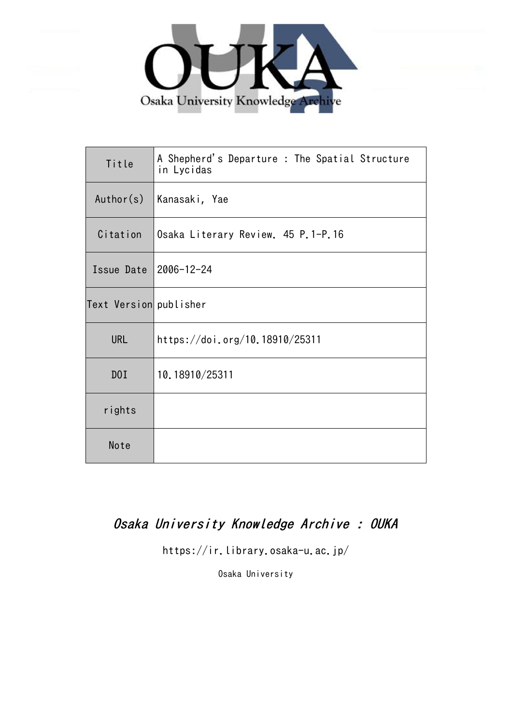

| Title                  | A Shepherd's Departure : The Spatial Structure<br>in Lycidas |
|------------------------|--------------------------------------------------------------|
| Author(s)              | Kanasaki, Yae                                                |
| Citation               | Osaka Literary Review. 45 P.1-P.16                           |
| Issue Date             | 2006-12-24                                                   |
| Text Version publisher |                                                              |
| <b>URL</b>             | https://doi.org/10.18910/25311                               |
| D0I                    | 10.18910/25311                                               |
| rights                 |                                                              |
| Note                   |                                                              |

# Osaka University Knowledge Archive : OUKA

https://ir.library.osaka-u.ac.jp/

Osaka University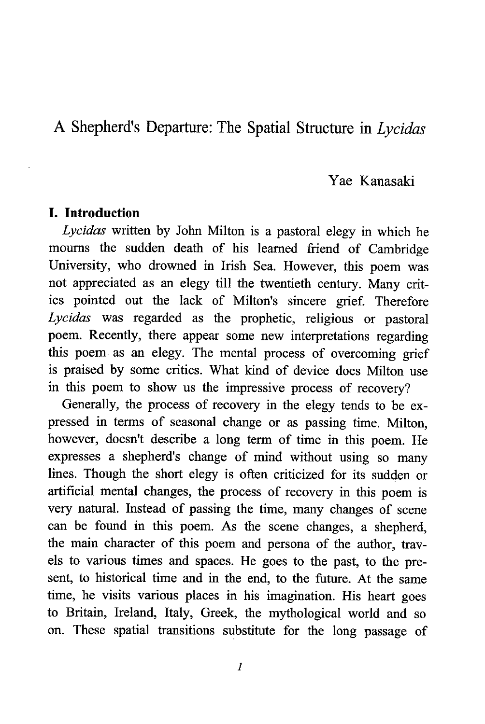# A Shepherd's Departure: The Spatial Structure in Lycidas

## Yae Kanasaki

#### I. Introduction

Lycidas written by John Milton is a pastoral elegy in which he mourns the sudden death of his learned friend of Cambridge University, who drowned in Irish Sea. However, this poem was not appreciated as an elegy till the twentieth century. Many critics pointed out the lack of Milton's sincere grief. Therefore Lycidas was regarded as the prophetic, religious or pastoral poem. Recently, there appear some new interpretations regarding this poem as an elegy. The mental process of overcoming grief is praised by some critics. What kind of device does Milton use in this poem to show us the impressive process of recovery?

Generally, the process of recovery in the elegy tends to be expressed in terms of seasonal change or as passing time. Milton, however, doesn't describe a long term of time in this poem. He expresses a shepherd's change of mind without using so many lines. Though the short elegy is often criticized for its sudden or artificial mental changes, the process of recovery in this poem is very natural. Instead of passing the time, many changes of scene can be found in this poem. As the scene changes, a shepherd, the main character of this poem and persona of the author, travels to various times and spaces. He goes to the past, to the present, to historical time and in the end, to the future. At the same time, he visits various places in his imagination. His heart goes to Britain, Ireland, Italy, Greek, the mythological world and so on. These spatial transitions substitute for the long passage of

 $\mathcal{I}$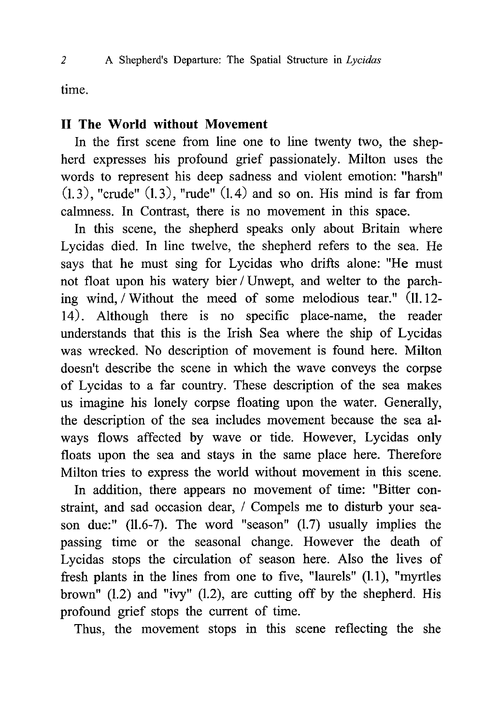time.

# H The World without Movement

In the first scene from line one to line twenty two, the shepherd expresses his profound grief passionately. Milton uses the words to represent his deep sadness and violent emotion: "harsh"  $(1.3)$ , "crude"  $(1.3)$ , "rude"  $(1.4)$  and so on. His mind is far from calmness. In Contrast, there is no movement in this space.

In this scene, the shepherd speaks only about Britain where Lycidas died. In line twelve, the shepherd refers to the sea. He says that he must sing for Lycidas who drifts alone: "He must not float upon his watery bier / Unwept, and welter to the parching wind, / Without the meed of some melodious tear." (11.12- 14). Although there is no specific place-name, the reader understands that this is the Irish Sea where the ship of Lycidas was wrecked. No description of movement is found here. Milton doesn't describe the scene in which the wave conveys the corpse of Lycidas to a far country. These description of the sea makes us imagine his lonely corpse floating upon the water. Generally, the description of the sea includes movement because the sea always flows affected by wave or tide. However, Lycidas only floats upon the sea and stays in the same place here. Therefore Milton tries to express the world without movement in this scene.

In addition, there appears no movement of time: "Bitter constraint, and sad occasion dear, / Compels me to disturb your season due:" (11.6-7). The word "season" (1.7) usually implies the passing time or the seasonal change. However the death of Lycidas stops the circulation of season here. Also the lives of fresh plants in the lines from one to five, "laurels" (1.1), "myrtles brown"  $(1.2)$  and "ivy"  $(1.2)$ , are cutting off by the shepherd. His profound grief stops the current of time.

Thus, the movement stops in this scene reflecting the she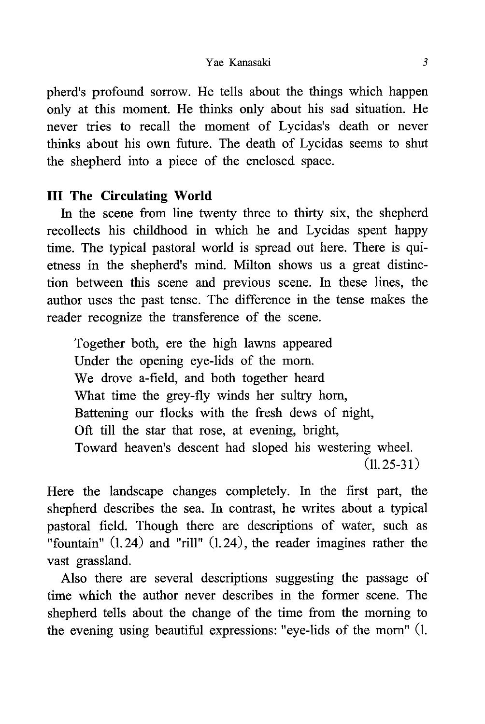#### Yae Kanasaki 3

pherd's profound sorrow. He tells about the things which happen only at this moment. He thinks only about his sad situation. He never tries to recall the moment of Lycidas's death or never thinks about his own future. The death of Lycidas seems to shut the shepherd into a piece of the enclosed space.

# III The Circulating World

In the scene from line twenty three to thirty six, the shepherd recollects his childhood in which he and Lycidas spent happy time. The typical pastoral world is spread out here. There is quietness in the shepherd's mind. Milton shows us a great distinction between this scene and previous scene. In these lines, the author uses the past tense. The difference in the tense makes the reader recognize the transference of the scene.

Together both, ere the high lawns appeared Under the opening eye-lids of the morn. We drove a-field, and both together heard What time the grey-fly winds her sultry horn, Battening our flocks with the fresh dews of night, Oft till the star that rose, at evening, bright, Toward heaven's descent had sloped his westering wheel.  $(11.25 - 31)$ 

Here the landscape changes completely. In the first part, the shepherd describes the sea. In contrast, he writes about a typical pastoral field. Though there are descriptions of water, such as "fountain" (1.24) and "rill" (1.24), the reader imagines rather the vast grassland.

Also there are several descriptions suggesting the passage of time which the author never describes in the former scene. The shepherd tells about the change of the time from the morning to the evening using beautiful expressions: "eye-lids of the morn" (1.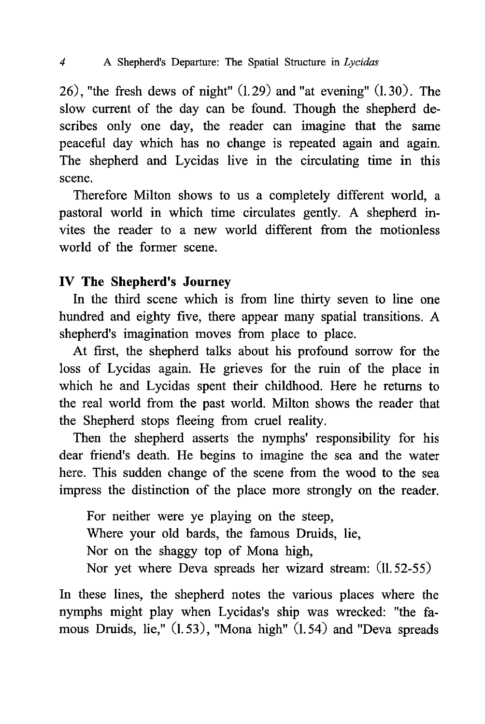26), "the fresh dews of night" (1.29) and "at evening" (1.30). The slow current of the day can be found. Though the shepherd describes only one day, the reader can imagine that the same peaceful day which has no change is repeated again and again. The shepherd and Lycidas live in the circulating time in this scene.

Therefore Milton shows to us a completely different world, a pastoral world in which time circulates gently. A shepherd invites the reader to a new world different from the motionless world of the former scene.

# IV The Shepherd's Journey

In the third scene which is from line thirty seven to line one hundred and eighty five, there appear many spatial transitions. A shepherd's imagination moves from place to place.

At first, the shepherd talks about his profound sorrow for the loss of Lycidas again. He grieves for the ruin of the place in which he and Lycidas spent their childhood. Here he returns to the real world from the past world. Milton shows the reader that the Shepherd stops fleeing from cruel reality.

Then the shepherd asserts the nymphs' responsibility for his dear friend's death. He begins to imagine the sea and the water here. This sudden change of the scene from the wood to the sea impress the distinction of the place more strongly on the reader.

For neither were ye playing on the steep, Where your old bards, the famous Druids, lie, Nor on the shaggy top of Mona high, Nor yet where Deva spreads her wizard stream: (11.52-55)

In these lines, the shepherd notes the various places where the nymphs might play when Lycidas's ship was wrecked: "the famous Druids, lie," (1.53), "Mona high" (1.54) and "Deva spreads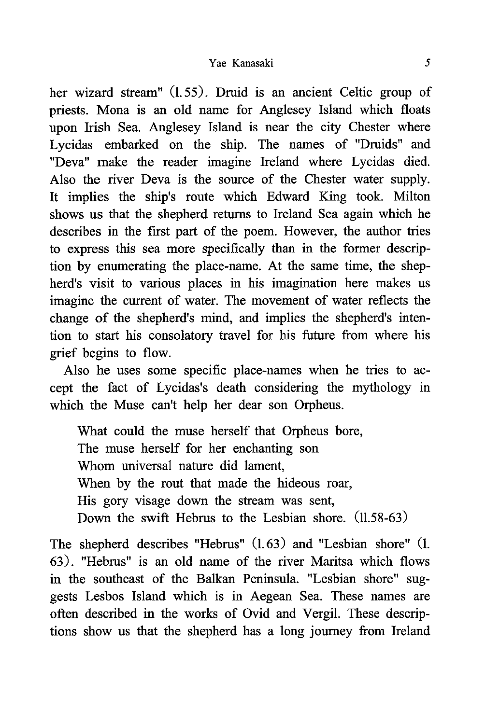#### Yae Kanasaki 5

her wizard stream" (1.55). Druid is an ancient Celtic group of priests. Mona is an old name for Anglesey Island which floats upon Irish Sea. Anglesey Island is near the city Chester where Lycidas embarked on the ship. The names of "Druids" and "Deva" make the reader imagine Ireland where Lycidas died. Also the river Deva is the source of the Chester water supply. It implies the ship's route which Edward King took. Milton shows us that the shepherd returns to Ireland Sea again which he describes in the first part of the poem. However, the author tries to express this sea more specifically than in the former description by enumerating the place-name. At the same time, the shepherd's visit to various places in his imagination here makes us imagine the current of water. The movement of water reflects the change of the shepherd's mind, and implies the shepherd's intention to start his consolatory travel for his future from where his grief begins to flow.

Also he uses some specific place-names when he tries to accept the fact of Lycidas's death considering the mythology in which the Muse can't help her dear son Orpheus.

What could the muse herself that Orpheus bore, The muse herself for her enchanting son Whom universal nature did lament, When by the rout that made the hideous roar, His gory visage down the stream was sent, Down the swift Hebrus to the Lesbian shore. (11.58-63)

The shepherd describes "Hebrus" (1.63) and "Lesbian shore" (1. 63). "Hebrus" is an old name of the river Maritsa which flows in the southeast of the Balkan Peninsula. "Lesbian shore" suggests Lesbos Island which is in Aegean Sea. These names are often described in the works of Ovid and Vergil. These descriptions show us that the shepherd has a long journey from Ireland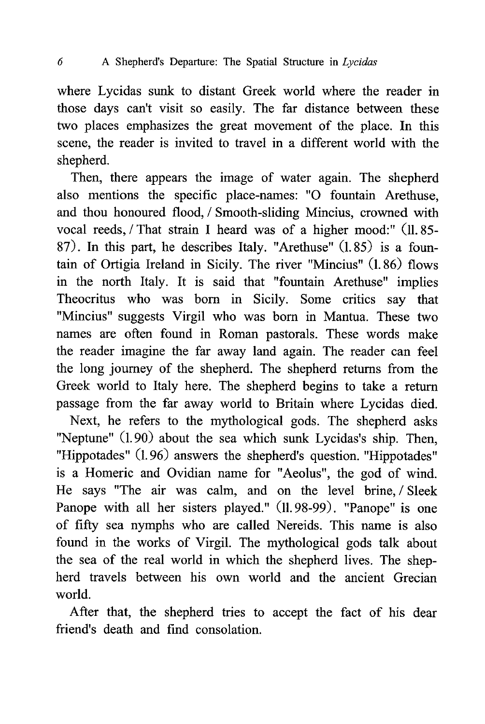where Lycidas sunk to distant Greek world where the reader in those days can't visit so easily. The far distance between these two places emphasizes the great movement of the place. In this scene, the reader is invited to travel in a different world with the shepherd.

Then, there appears the image of water again. The shepherd also mentions the specific place-names: "0 fountain Arethuse, and thou honoured flood, / Smooth-sliding Mincius, crowned with vocal reeds, / That strain I heard was of a higher mood:" (11.85-87). In this part, he describes Italy. "Arethuse" (1.85) is a fountain of Ortigia Ireland in Sicily. The river "Mincius" (1.86) flows in the north Italy. It is said that "fountain Arethuse" implies Theocritus who was born in Sicily. Some critics say that "Mincius" suggests Virgil who was born in Mantua . These two names are often found in Roman pastorals. These words make the reader imagine the far away land again. The reader can feel the long journey of the shepherd. The shepherd returns from the Greek world to Italy here. The shepherd begins to take a return passage from the far away world to Britain where Lycidas died.

Next, he refers to the mythological gods. The shepherd asks "Neptune" (1.90) about the sea which sunk Lycidas's ship. Then, "Hippotades" (1.96) answers the shepherd's question. "Hippotades" is a Homeric and Ovidian name for "Aeolus", the god of wind. He says "The air was calm, and on the level brine, / Sleek Panope with all her sisters played." (11.98-99). "Panope" is one of fifty sea nymphs who are called Nereids. This name is also found in the works of Virgil. The mythological gods talk about the sea of the real world in which the shepherd lives. The shepherd travels between his own world and the ancient Grecian world.

After that, the shepherd tries to accept the fact of his dear friend's death and find consolation.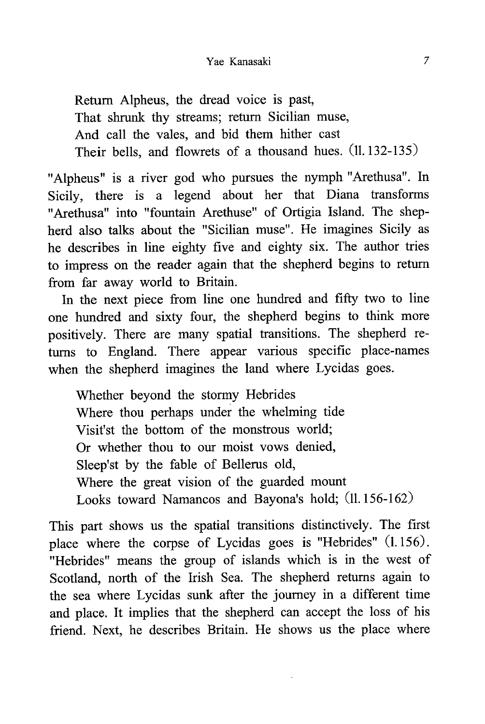Return Alpheus, the dread voice is past, That shrunk thy streams; return Sicilian muse, And call the vales, and bid them hither cast Their bells, and flowrets of a thousand hues. (11.132-135)

"Alpheus" is a river god who pursues the nymph "Arethusa". In Sicily, there is a legend about her that Diana transforms "Arethusa" into "fountain Arethuse" of Ortigia Island. The shepherd also talks about the "Sicilian muse". He imagines Sicily as he describes in line eighty five and eighty six. The author tries to impress on the reader again that the shepherd begins to return from far away world to Britain.

In the next piece from line one hundred and fifty two to line one hundred and sixty four, the shepherd begins to think more positively. There are many spatial transitions. The shepherd returns to England. There appear various specific place-names when the shepherd imagines the land where Lycidas goes.

Whether beyond the stormy Hebrides Where thou perhaps under the whelming tide Visit'st the bottom of the monstrous world; Or whether thou to our moist vows denied, Sleep'st by the fable of Bellerus old, Where the great vision of the guarded mount Looks toward Namancos and Bayona's hold; (11.156-162)

This part shows us the spatial transitions distinctively. The first place where the corpse of Lycidas goes is "Hebrides" (1.156). "Hebrides" means the group of islands which is in the west of Scotland, north of the Irish Sea. The shepherd returns again to the sea where Lycidas sunk after the journey in a different time and place. It implies that the shepherd can accept the loss of his friend. Next, he describes Britain. He shows us the place where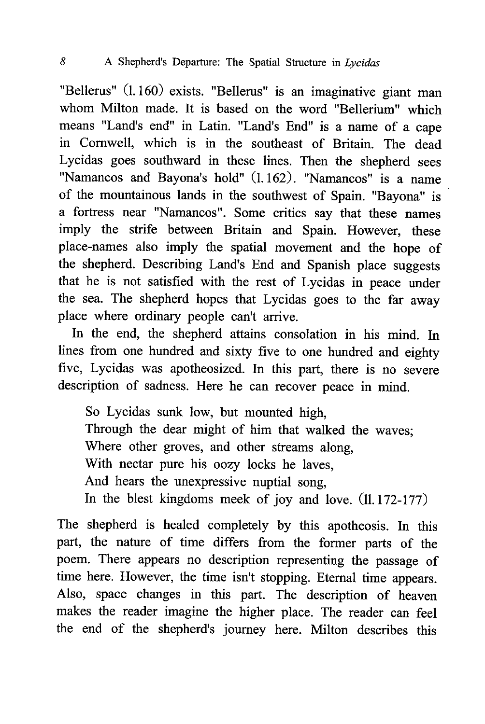### 8 A Shepherd's Departure: The Spatial Structure in Lycidas

"Bellerus" (1.160) exists. "Bellerus" is an imaginative giant man whom Milton made. It is based on the word "Bellerium" which means "Land's end" in Latin. "Land's End" is a name of a cape in Cornwell, which is in the southeast of Britain. The dead Lycidas goes southward in these lines. Then the shepherd sees "Namancos and Bayona's hold" (1.162). "Namancos" is a name of the mountainous lands in the southwest of Spain. "Bayona" is a fortress near "Namancos". Some critics say that these names imply the strife between Britain and Spain. However, these place-names also imply the spatial movement and the hope of the shepherd. Describing Land's End and Spanish place suggests that he is not satisfied with the rest of Lycidas in peace under the sea. The shepherd hopes that Lycidas goes to the far away place where ordinary people can't arrive.

In the end, the shepherd attains consolation in his mind. In lines from one hundred and sixty five to one hundred and eighty five, Lycidas was apotheosized. In this part, there is no severe description of sadness. Here he can recover peace in mind.

So Lycidas sunk low, but mounted high, Through the dear might of him that walked the waves; Where other groves, and other streams along, With nectar pure his oozy locks he laves, And hears the unexpressive nuptial song, In the blest kingdoms meek of joy and love. (11.172-177)

The shepherd is healed completely by this apotheosis. In this part, the nature of time differs from the former parts of the poem. There appears no description representing the passage of time here. However, the time isn't stopping. Eternal time appears. Also, space changes in this part. The description of heaven makes the reader imagine the higher place. The reader can feel the end of the shepherd's journey here. Milton describes this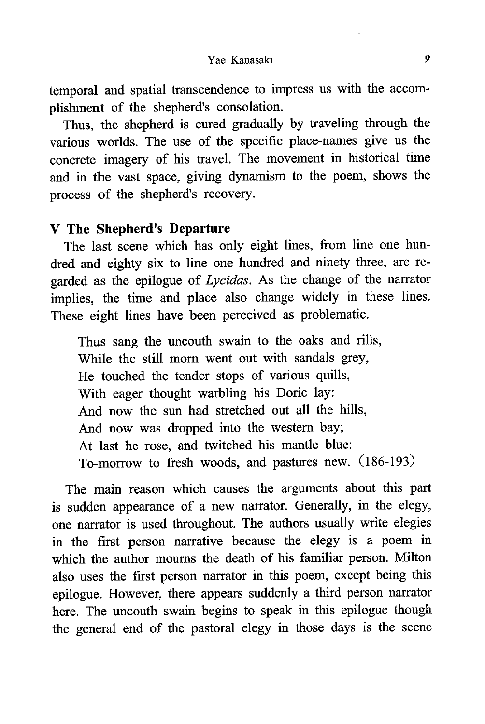temporal and spatial transcendence to impress us with the accomplishment of the shepherd's consolation.

Thus, the shepherd is cured gradually by traveling through the various worlds. The use of the specific place-names give us the concrete imagery of his travel. The movement in historical time and in the vast space, giving dynamism to the poem, shows the process of the shepherd's recovery.

### V The Shepherd's Departure

The last scene which has only eight lines, from line one hundred and eighty six to line one hundred and ninety three, are regarded as the epilogue of Lycidas. As the change of the narrator implies, the time and place also change widely in these lines. These eight lines have been perceived as problematic.

Thus sang the uncouth swain to the oaks and rills, While the still morn went out with sandals grey, He touched the tender stops of various quills, With eager thought warbling his Doric lay: And now the sun had stretched out all the hills, And now was dropped into the western bay; At last he rose, and twitched his mantle blue: To-morrow to fresh woods, and pastures new. (186-193)

The main reason which causes the arguments about this part is sudden appearance of a new narrator. Generally, in the elegy, one narrator is used throughout. The authors usually write elegies in the first person narrative because the elegy is a poem in which the author mourns the death of his familiar person. Milton also uses the first person narrator in this poem, except being this epilogue. However, there appears suddenly a third person narrator here. The uncouth swain begins to speak in this epilogue though the general end of the pastoral elegy in those days is the scene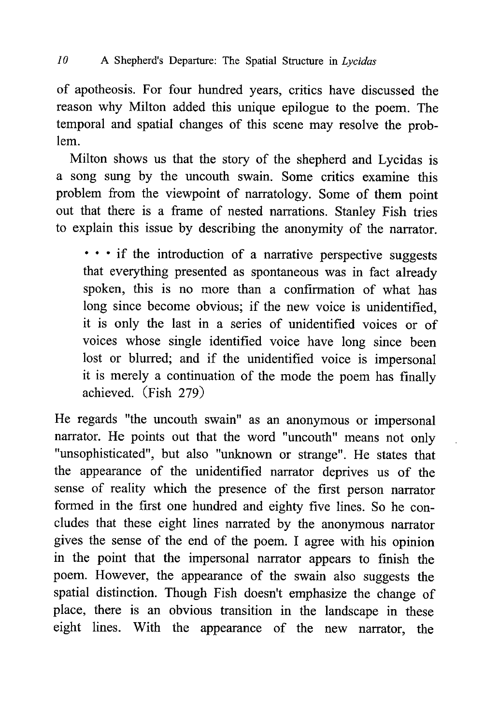of apotheosis. For four hundred years, critics have discussed the reason why Milton added this unique epilogue to the poem. The temporal and spatial changes of this scene may resolve the problem.

 Milton shows us that the story of the shepherd and Lycidas is a song sung by the uncouth swain. Some critics examine this problem from the viewpoint of narratology. Some of them point out that there is a frame of nested narrations. Stanley Fish tries to explain this issue by describing the anonymity of the narrator.

• • • if the introduction of a narrative perspective suggests that everything presented as spontaneous was in fact already spoken, this is no more than a confirmation of what has long since become obvious; if the new voice is unidentified, it is only the last in a series of unidentified voices or of voices whose single identified voice have long since been lost or blurred; and if the unidentified voice is impersonal it is merely a continuation of the mode the poem has finally achieved. (Fish 279)

He regards "the uncouth swain" as an anonymous or impersonal narrator. He points out that the word "uncouth" means not only "unsophisticated" , but also "unknown or strange". He states that the appearance of the unidentified narrator deprives us of the sense of reality which the presence of the first person narrator formed in the first one hundred and eighty five lines. So he concludes that these eight lines narrated by the anonymous narrator gives the sense of the end of the poem. I agree with his opinion in the point that the impersonal narrator appears to finish the poem. However, the appearance of the swain also suggests the spatial distinction. Though Fish doesn't emphasize the change of place, there is an obvious transition in the landscape in these eight lines. With the appearance of the new narrator, the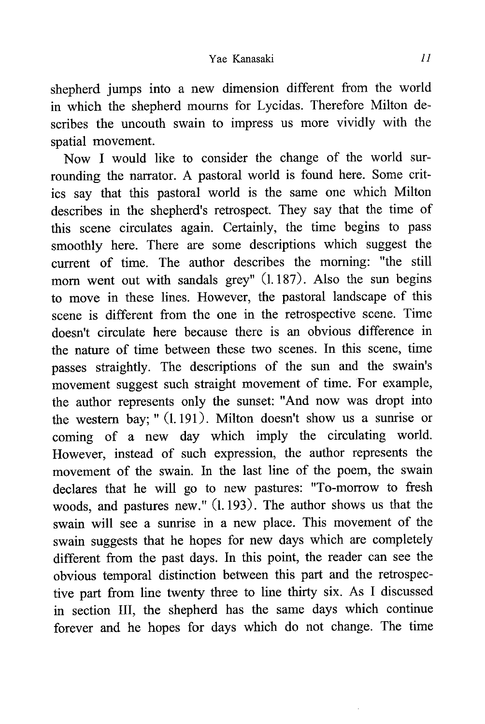shepherd jumps into a new dimension different from the world in which the shepherd mourns for Lycidas. Therefore Milton describes the uncouth swain to impress us more vividly with the spatial movement.

Now I would like to consider the change of the world surrounding the narrator. A pastoral world is found here. Some critics say that this pastoral world is the same one which Milton describes in the shepherd's retrospect. They say that the time of this scene circulates again. Certainly, the time begins to pass smoothly here. There are some descriptions which suggest the current of time. The author describes the morning: "the still morn went out with sandals grey" (1.187). Also the sun begins to move in these lines. However, the pastoral landscape of this scene is different from the one in the retrospective scene. Time doesn't circulate here because there is an obvious difference in the nature of time between these two scenes. In this scene, time passes straightly. The descriptions of the sun and the swain's movement suggest such straight movement of time. For example, the author represents only the sunset: "And now was dropt into the western bay; " (1.191). Milton doesn't show us a sunrise or coming of a new day which imply the circulating world. However, instead of such expression, the author represents the movement of the swain. In the last line of the poem, the swain declares that he will go to new pastures: "To-morrow to fresh woods, and pastures new." (1.193). The author shows us that the swain will see a sunrise in a new place. This movement of the swain suggests that he hopes for new days which are completely different from the past days. In this point, the reader can see the obvious temporal distinction between this part and the retrospective part from line twenty three to line thirty six. As I discussed in section III, the shepherd has the same days which continue forever and he hopes for days which do not change. The time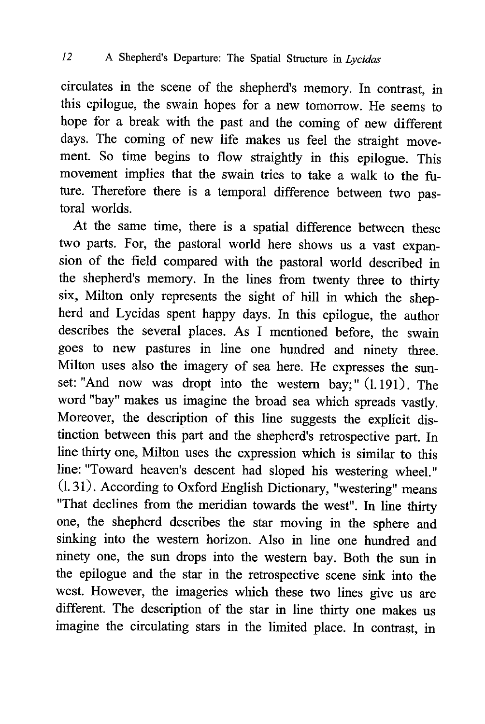circulates in the scene of the shepherd's memory. In contrast , in this epilogue, the swain hopes for a new tomorrow. He seems to hope for a break with the past and the coming of new different days. The coming of new life makes us feel the straight movement. So time begins to flow straightly in this epilogue. This movement implies that the swain tries to take a walk to the future. Therefore there is a temporal difference between two pastoral worlds.

At the same time, there is a spatial difference between these two parts. For, the pastoral world here shows us a vast expansion of the field compared with the pastoral world described in the shepherd's memory. In the lines from twenty three to thirty six, Milton only represents the sight of hill in which the shepherd and Lycidas spent happy days. In this epilogue , the author describes the several places. As I mentioned before , the swain goes to new pastures in line one hundred and ninety three. Milton uses also the imagery of sea here. He expresses the sunset: "And now was dropt into the western bay;" (1.191). The word "bay" makes us imagine the broad sea which spreads vastly . Moreover, the description of this line suggests the explicit distinction between this part and the shepherd's retrospective part. In line thirty one, Milton uses the expression which is similar to this line: "Toward heaven's descent had sloped his westering wheel." (1.31). According to Oxford English Dictionary, "westering" means "That declines from the meridian towards the west". In line thirty one, the shepherd describes the star moving in the sphere and sinking into the western horizon. Also in line one hundred and ninety one, the sun drops into the western bay. Both the sun in the epilogue and the star in the retrospective scene sink into the west. However, the imageries which these two lines give us are different. The description of the star in line thirty one makes us imagine the circulating stars in the limited place. In contrast , in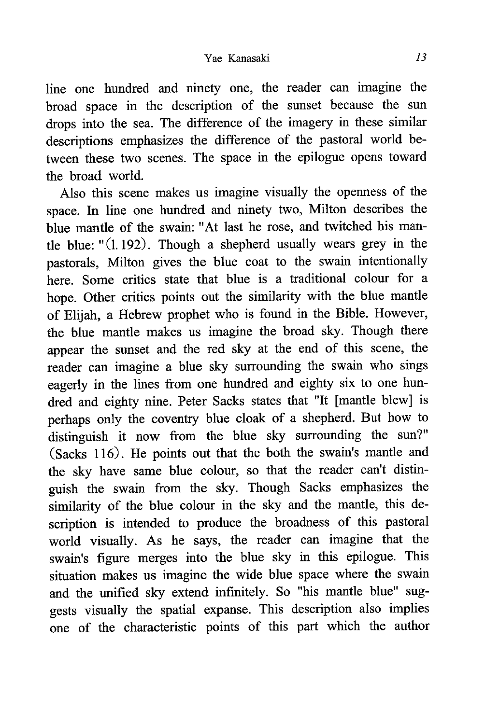line one hundred and ninety one, the reader can imagine the broad space in the description of the sunset because the sun drops into the sea. The difference of the imagery in these similar descriptions emphasizes the difference of the pastoral world between these two scenes. The space in the epilogue opens toward the broad world.

Also this scene makes us imagine visually the openness of the space. In line one hundred and ninety two, Milton describes the blue mantle of the swain: "At last he rose, and twitched his mantle blue:  $(1.192)$ . Though a shepherd usually wears grey in the pastorals, Milton gives the blue coat to the swain intentionally here. Some critics state that blue is a traditional colour for a hope. Other critics points out the similarity with the blue mantle of Elijah, a Hebrew prophet who is found in the Bible. However, the blue mantle makes us imagine the broad sky. Though there appear the sunset and the red sky at the end of this scene, the reader can imagine a blue sky surrounding the swain who sings eagerly in the lines from one hundred and eighty six to one hundred and eighty nine. Peter Sacks states that "It [mantle blew] is perhaps only the coventry blue cloak of a shepherd. But how to distinguish it now from the blue sky surrounding the sun?" (Sacks 116). He points out that the both the swain's mantle and the sky have same blue colour, so that the reader can't distinguish the swain from the sky. Though Sacks emphasizes the similarity of the blue colour in the sky and the mantle, this description is intended to produce the broadness of this pastoral world visually. As he says, the reader can imagine that the swain's figure merges into the blue sky in this epilogue. This situation makes us imagine the wide blue space where the swain and the unified sky extend infinitely. So "his mantle blue" suggests visually the spatial expanse. This description also implies one of the characteristic points of this part which the author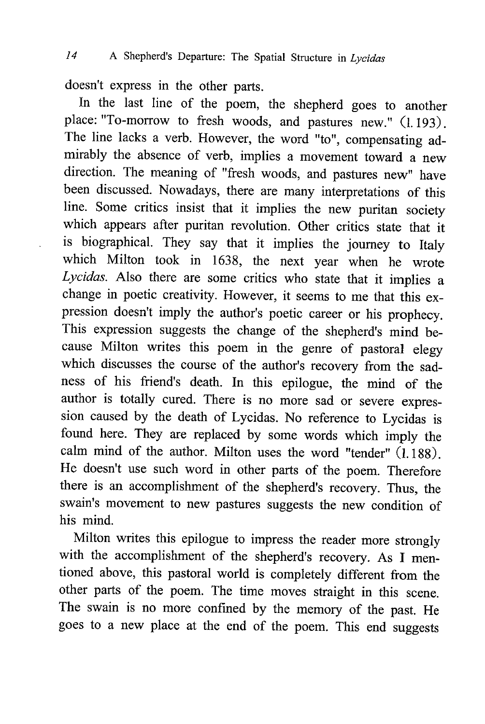doesn't express in the other parts.

In the last line of the poem, the shepherd goes to another place: "To-morrow to fresh woods, and pastures new." (1.193). The line lacks a verb. However, the word "to", compensating admirably the absence of verb, implies a movement toward a new direction. The meaning of "fresh woods, and pastures new" have been discussed. Nowadays, there are many interpretations of this line. Some critics insist that it implies the new puritan society which appears after puritan revolution. Other critics state that it is biographical. They say that it implies the journey to Italy which Milton took in 1638, the next year when he wrote Lycidas. Also there are some critics who state that it implies a change in poetic creativity. However, it seems to me that this expression doesn't imply the author's poetic career or his prophecy. This expression suggests the change of the shepherd's mind because Milton writes this poem in the genre of pastoral elegy which discusses the course of the author's recovery from the sadness of his friend's death. In this epilogue , the mind of the author is totally cured. There is no more sad or severe expression caused by the death of Lycidas. No reference to Lycidas is found here. They are replaced by some words which imply the calm mind of the author. Milton uses the word "tender" (1.188). He doesn't use such word in other parts of the poem. Therefore there is an accomplishment of the shepherd's recovery. Thus, the swain's movement to new pastures suggests the new condition of his mind.

Milton writes this epilogue to impress the reader more strongly with the accomplishment of the shepherd's recovery. As I mentioned above, this pastoral world is completely different from the other parts of the poem. The time moves straight in this scene. The swain is no more confined by the memory of the past . He goes to a new place at the end of the poem. This end suggests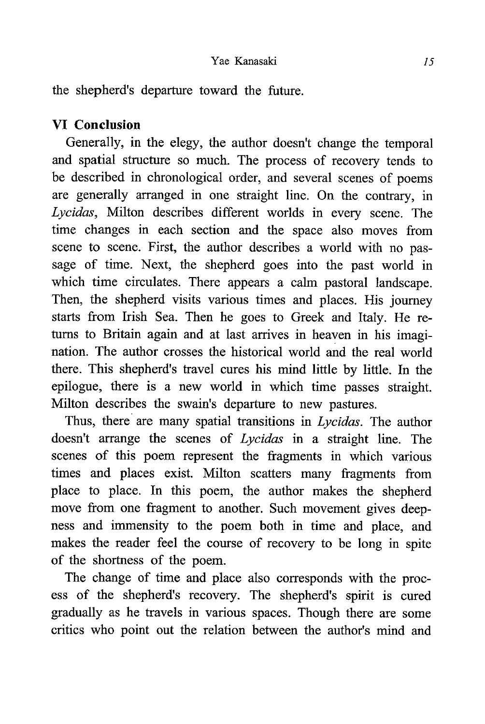the shepherd's departure toward the future.

# VI Conclusion

Generally, in the elegy, the author doesn't change the temporal and spatial structure so much. The process of recovery tends to be described in chronological order, and several scenes of poems are generally arranged in one straight line. On the contrary, in Lycidas, Milton describes different worlds in every scene. The time changes in each section and the space also moves from scene to scene. First, the author describes a world with no passage of time. Next, the shepherd goes into the past world in which time circulates. There appears a calm pastoral landscape. Then, the shepherd visits various times and places. His journey starts from Irish Sea. Then he goes to Greek and Italy. He returns to Britain again and at last arrives in heaven in his imagination. The author crosses the historical world and the real world there. This shepherd's travel cures his mind little by little. In the epilogue, there is a new world in which time passes straight. Milton describes the swain's departure to new pastures.

Thus, there are many spatial transitions in Lycidas. The author doesn't arrange the scenes of Lycidas in a straight line. The scenes of this poem represent the fragments in which various times and places exist. Milton scatters many fragments from place to place. In this poem, the author makes the shepherd move from one fragment to another. Such movement gives deepness and immensity to the poem both in time and place, and makes the reader feel the course of recovery to be long in spite of the shortness of the poem.

The change of time and place also corresponds with the process of the shepherd's recovery. The shepherd's spirit is cured gradually as he travels in various spaces. Though there are some critics who point out the relation between the author's mind and